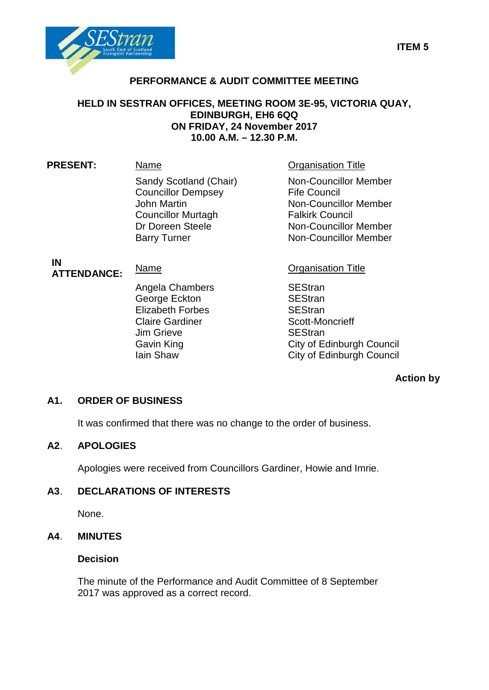

# **PERFORMANCE & AUDIT COMMITTEE MEETING**

## **HELD IN SESTRAN OFFICES, MEETING ROOM 3E-95, VICTORIA QUAY, EDINBURGH, EH6 6QQ ON FRIDAY, 24 November 2017 10.00 A.M. – 12.30 P.M.**

| <b>PRESENT:</b> | Name                                                                                                                                       | <b>Organisation Title</b>                                                                                                         |
|-----------------|--------------------------------------------------------------------------------------------------------------------------------------------|-----------------------------------------------------------------------------------------------------------------------------------|
|                 | Sandy Scotland (Chair)<br><b>Councillor Dempsey</b><br>John Martin<br><b>Councillor Murtagh</b><br>Dr Doreen Steele<br><b>Barry Turner</b> | Non-Councillor Me<br><b>Fife Council</b><br>Non-Councillor Me<br><b>Falkirk Council</b><br>Non-Councillor Me<br>Non-Councillor Me |
|                 |                                                                                                                                            |                                                                                                                                   |

# **IN<br>ATTENDANCE:**

Angela Chambers<br>
George Eckton<br>
SEStran George Eckton<br>
Elizabeth Forbes<br>
SEStran Elizabeth Forbes SEStran Claire Gardiner Jim Grieve **SEStran** 

# **Name ATTENDANCE:** Name Organisation Title

Gavin King **City of Edinburgh Council**<br> **Gity of Edinburgh Council**<br>
City of Edinburgh Council City of Edinburgh Council

Non-Councillor Member

Non-Councillor Member

Non-Councillor Member Non-Councillor Member

#### **Action by**

#### **A1. ORDER OF BUSINESS**

It was confirmed that there was no change to the order of business.

#### **A2**. **APOLOGIES**

Apologies were received from Councillors Gardiner, Howie and Imrie.

#### **A3**. **DECLARATIONS OF INTERESTS**

None.

#### **A4**. **MINUTES**

#### **Decision**

The minute of the Performance and Audit Committee of 8 September 2017 was approved as a correct record.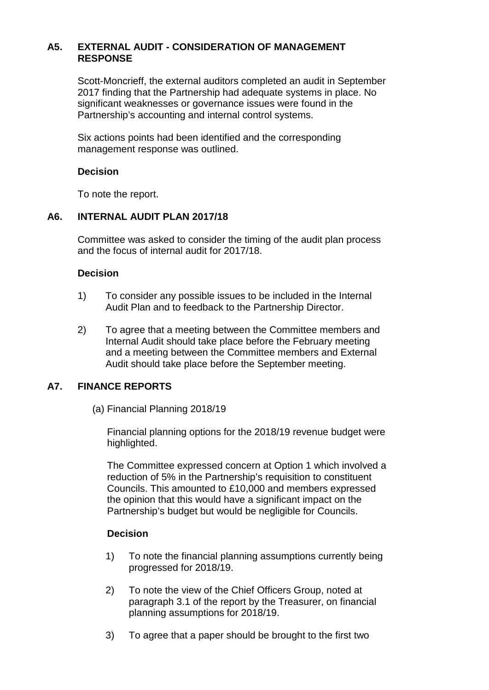# **A5. EXTERNAL AUDIT - CONSIDERATION OF MANAGEMENT RESPONSE**

Scott-Moncrieff, the external auditors completed an audit in September 2017 finding that the Partnership had adequate systems in place. No significant weaknesses or governance issues were found in the Partnership's accounting and internal control systems.

Six actions points had been identified and the corresponding management response was outlined.

#### **Decision**

To note the report.

## **A6. INTERNAL AUDIT PLAN 2017/18**

Committee was asked to consider the timing of the audit plan process and the focus of internal audit for 2017/18.

#### **Decision**

- 1) To consider any possible issues to be included in the Internal Audit Plan and to feedback to the Partnership Director.
- 2) To agree that a meeting between the Committee members and Internal Audit should take place before the February meeting and a meeting between the Committee members and External Audit should take place before the September meeting.

#### **A7. FINANCE REPORTS**

(a) Financial Planning 2018/19

Financial planning options for the 2018/19 revenue budget were highlighted.

The Committee expressed concern at Option 1 which involved a reduction of 5% in the Partnership's requisition to constituent Councils. This amounted to £10,000 and members expressed the opinion that this would have a significant impact on the Partnership's budget but would be negligible for Councils.

### **Decision**

- 1) To note the financial planning assumptions currently being progressed for 2018/19.
- 2) To note the view of the Chief Officers Group, noted at paragraph 3.1 of the report by the Treasurer, on financial planning assumptions for 2018/19.
- 3) To agree that a paper should be brought to the first two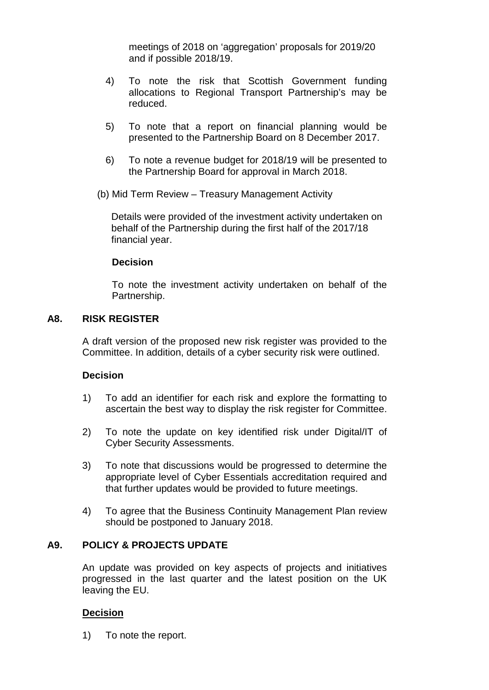meetings of 2018 on 'aggregation' proposals for 2019/20 and if possible 2018/19.

- 4) To note the risk that Scottish Government funding allocations to Regional Transport Partnership's may be reduced.
- 5) To note that a report on financial planning would be presented to the Partnership Board on 8 December 2017.
- 6) To note a revenue budget for 2018/19 will be presented to the Partnership Board for approval in March 2018.
- (b) Mid Term Review Treasury Management Activity

Details were provided of the investment activity undertaken on behalf of the Partnership during the first half of the 2017/18 financial year.

#### **Decision**

To note the investment activity undertaken on behalf of the Partnership.

#### **A8. RISK REGISTER**

A draft version of the proposed new risk register was provided to the Committee. In addition, details of a cyber security risk were outlined.

#### **Decision**

- 1) To add an identifier for each risk and explore the formatting to ascertain the best way to display the risk register for Committee.
- 2) To note the update on key identified risk under Digital/IT of Cyber Security Assessments.
- 3) To note that discussions would be progressed to determine the appropriate level of Cyber Essentials accreditation required and that further updates would be provided to future meetings.
- 4) To agree that the Business Continuity Management Plan review should be postponed to January 2018.

### **A9. POLICY & PROJECTS UPDATE**

An update was provided on key aspects of projects and initiatives progressed in the last quarter and the latest position on the UK leaving the EU.

#### **Decision**

1) To note the report.